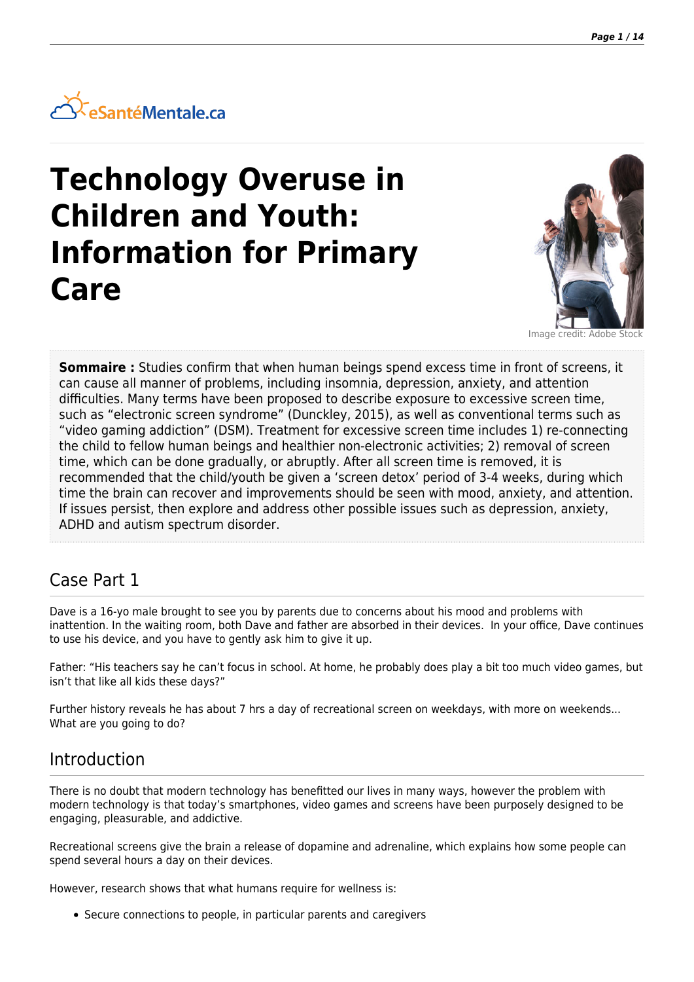

# **Technology Overuse in Children and Youth: Information for Primary Care**



Image credit: Adobe Stock

**Sommaire :** Studies confirm that when human beings spend excess time in front of screens, it can cause all manner of problems, including insomnia, depression, anxiety, and attention difficulties. Many terms have been proposed to describe exposure to excessive screen time, such as "electronic screen syndrome" (Dunckley, 2015), as well as conventional terms such as "video gaming addiction" (DSM). Treatment for excessive screen time includes 1) re-connecting the child to fellow human beings and healthier non-electronic activities; 2) removal of screen time, which can be done gradually, or abruptly. After all screen time is removed, it is recommended that the child/youth be given a 'screen detox' period of 3-4 weeks, during which time the brain can recover and improvements should be seen with mood, anxiety, and attention. If issues persist, then explore and address other possible issues such as depression, anxiety, ADHD and autism spectrum disorder.

## Case Part 1

Dave is a 16-yo male brought to see you by parents due to concerns about his mood and problems with inattention. In the waiting room, both Dave and father are absorbed in their devices. In your office, Dave continues to use his device, and you have to gently ask him to give it up.

Father: "His teachers say he can't focus in school. At home, he probably does play a bit too much video games, but isn't that like all kids these days?"

Further history reveals he has about 7 hrs a day of recreational screen on weekdays, with more on weekends... What are you going to do?

## Introduction

There is no doubt that modern technology has benefitted our lives in many ways, however the problem with modern technology is that today's smartphones, video games and screens have been purposely designed to be engaging, pleasurable, and addictive.

Recreational screens give the brain a release of dopamine and adrenaline, which explains how some people can spend several hours a day on their devices.

However, research shows that what humans require for wellness is:

Secure connections to people, in particular parents and caregivers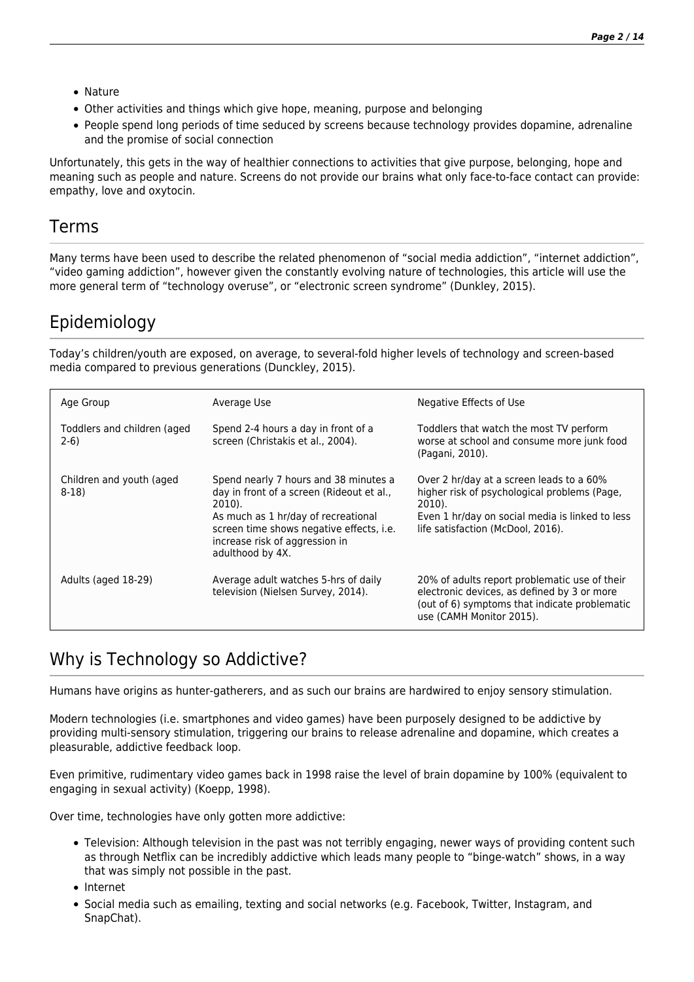- Nature
- Other activities and things which give hope, meaning, purpose and belonging
- People spend long periods of time seduced by screens because technology provides dopamine, adrenaline and the promise of social connection

Unfortunately, this gets in the way of healthier connections to activities that give purpose, belonging, hope and meaning such as people and nature. Screens do not provide our brains what only face-to-face contact can provide: empathy, love and oxytocin.

### Terms

Many terms have been used to describe the related phenomenon of "social media addiction", "internet addiction", "video gaming addiction", however given the constantly evolving nature of technologies, this article will use the more general term of "technology overuse", or "electronic screen syndrome" (Dunkley, 2015).

## Epidemiology

Today's children/youth are exposed, on average, to several-fold higher levels of technology and screen-based media compared to previous generations (Dunckley, 2015).

| Age Group                             | Average Use                                                                                                                                                                                                                           | Negative Effects of Use                                                                                                                                                                    |
|---------------------------------------|---------------------------------------------------------------------------------------------------------------------------------------------------------------------------------------------------------------------------------------|--------------------------------------------------------------------------------------------------------------------------------------------------------------------------------------------|
| Toddlers and children (aged<br>$2-6)$ | Spend 2-4 hours a day in front of a<br>screen (Christakis et al., 2004).                                                                                                                                                              | Toddlers that watch the most TV perform<br>worse at school and consume more junk food<br>(Pagani, 2010).                                                                                   |
| Children and youth (aged<br>$8-18$    | Spend nearly 7 hours and 38 minutes a<br>day in front of a screen (Rideout et al.,<br>2010).<br>As much as 1 hr/day of recreational<br>screen time shows negative effects, i.e.<br>increase risk of aggression in<br>adulthood by 4X. | Over 2 hr/day at a screen leads to a 60%<br>higher risk of psychological problems (Page,<br>2010).<br>Even 1 hr/day on social media is linked to less<br>life satisfaction (McDool, 2016). |
| Adults (aged 18-29)                   | Average adult watches 5-hrs of daily<br>television (Nielsen Survey, 2014).                                                                                                                                                            | 20% of adults report problematic use of their<br>electronic devices, as defined by 3 or more<br>(out of 6) symptoms that indicate problematic<br>use (CAMH Monitor 2015).                  |

## Why is Technology so Addictive?

Humans have origins as hunter-gatherers, and as such our brains are hardwired to enjoy sensory stimulation.

Modern technologies (i.e. smartphones and video games) have been purposely designed to be addictive by providing multi-sensory stimulation, triggering our brains to release adrenaline and dopamine, which creates a pleasurable, addictive feedback loop.

Even primitive, rudimentary video games back in 1998 raise the level of brain dopamine by 100% (equivalent to engaging in sexual activity) (Koepp, 1998).

Over time, technologies have only gotten more addictive:

- Television: Although television in the past was not terribly engaging, newer ways of providing content such as through Netflix can be incredibly addictive which leads many people to "binge-watch" shows, in a way that was simply not possible in the past.
- Internet
- Social media such as emailing, texting and social networks (e.g. Facebook, Twitter, Instagram, and SnapChat).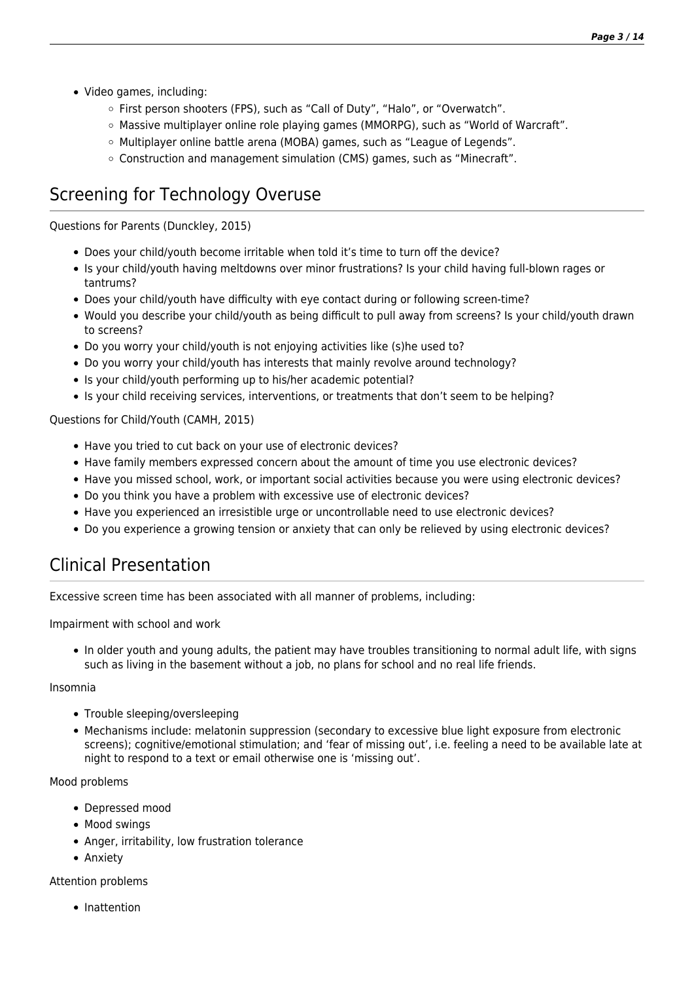- Video games, including:
	- o First person shooters (FPS), such as "Call of Duty", "Halo", or "Overwatch".
	- $\circ$  Massive multiplayer online role playing games (MMORPG), such as "World of Warcraft".
	- o Multiplayer online battle arena (MOBA) games, such as "League of Legends".
	- Construction and management simulation (CMS) games, such as "Minecraft".

## Screening for Technology Overuse

Questions for Parents (Dunckley, 2015)

- Does your child/youth become irritable when told it's time to turn off the device?
- Is your child/youth having meltdowns over minor frustrations? Is your child having full-blown rages or tantrums?
- Does your child/youth have difficulty with eye contact during or following screen-time?
- Would you describe your child/youth as being difficult to pull away from screens? Is your child/youth drawn to screens?
- Do you worry your child/youth is not enjoying activities like (s)he used to?
- Do you worry your child/youth has interests that mainly revolve around technology?
- Is your child/youth performing up to his/her academic potential?
- Is your child receiving services, interventions, or treatments that don't seem to be helping?

Questions for Child/Youth (CAMH, 2015)

- Have you tried to cut back on your use of electronic devices?
- Have family members expressed concern about the amount of time you use electronic devices?
- Have you missed school, work, or important social activities because you were using electronic devices?
- Do you think you have a problem with excessive use of electronic devices?
- Have you experienced an irresistible urge or uncontrollable need to use electronic devices?
- Do you experience a growing tension or anxiety that can only be relieved by using electronic devices?

## Clinical Presentation

Excessive screen time has been associated with all manner of problems, including:

Impairment with school and work

In older youth and young adults, the patient may have troubles transitioning to normal adult life, with signs such as living in the basement without a job, no plans for school and no real life friends.

### Insomnia

- Trouble sleeping/oversleeping
- Mechanisms include: melatonin suppression (secondary to excessive blue light exposure from electronic screens); cognitive/emotional stimulation; and 'fear of missing out', i.e. feeling a need to be available late at night to respond to a text or email otherwise one is 'missing out'.

### Mood problems

- Depressed mood
- Mood swings
- Anger, irritability, low frustration tolerance
- Anxiety

### Attention problems

• Inattention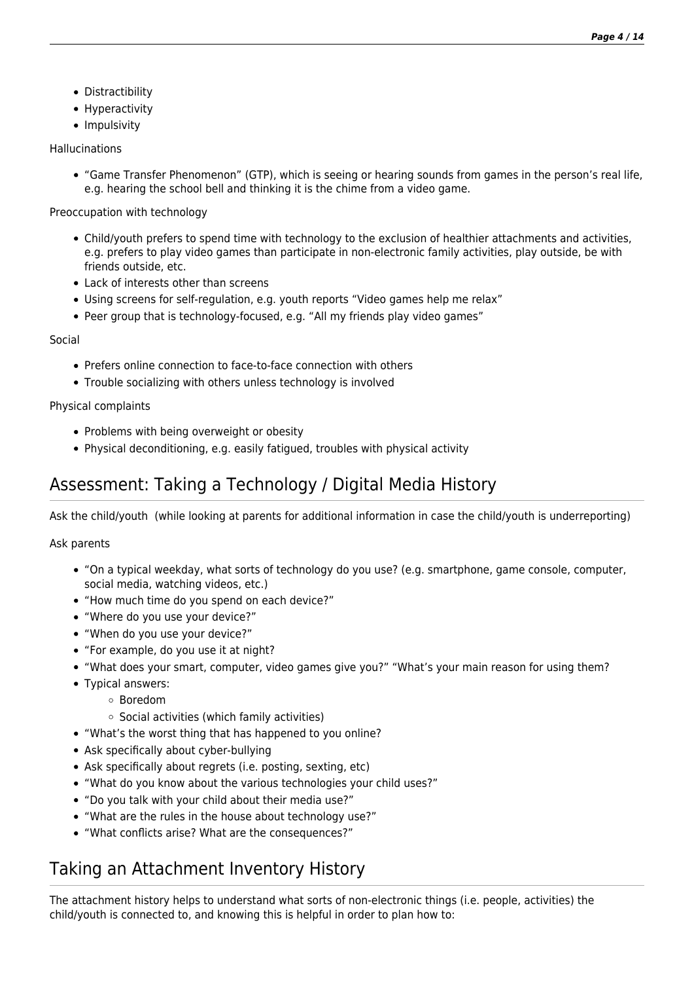- Distractibility
- Hyperactivity
- Impulsivity

### Hallucinations

"Game Transfer Phenomenon" (GTP), which is seeing or hearing sounds from games in the person's real life, e.g. hearing the school bell and thinking it is the chime from a video game.

Preoccupation with technology

- Child/youth prefers to spend time with technology to the exclusion of healthier attachments and activities, e.g. prefers to play video games than participate in non-electronic family activities, play outside, be with friends outside, etc.
- Lack of interests other than screens
- Using screens for self-regulation, e.g. youth reports "Video games help me relax"
- Peer group that is technology-focused, e.g. "All my friends play video games"

### Social

- Prefers online connection to face-to-face connection with others
- Trouble socializing with others unless technology is involved

Physical complaints

- Problems with being overweight or obesity
- Physical deconditioning, e.g. easily fatigued, troubles with physical activity

## Assessment: Taking a Technology / Digital Media History

Ask the child/youth (while looking at parents for additional information in case the child/youth is underreporting)

Ask parents

- "On a typical weekday, what sorts of technology do you use? (e.g. smartphone, game console, computer, social media, watching videos, etc.)
- "How much time do you spend on each device?"
- "Where do you use your device?"
- "When do you use your device?"
- "For example, do you use it at night?
- "What does your smart, computer, video games give you?" "What's your main reason for using them?
- Typical answers:
	- Boredom
	- $\circ$  Social activities (which family activities)
- "What's the worst thing that has happened to you online?
- Ask specifically about cyber-bullying
- Ask specifically about regrets (i.e. posting, sexting, etc)
- "What do you know about the various technologies your child uses?"
- "Do you talk with your child about their media use?"
- "What are the rules in the house about technology use?"
- "What conflicts arise? What are the consequences?"

## Taking an Attachment Inventory History

The attachment history helps to understand what sorts of non-electronic things (i.e. people, activities) the child/youth is connected to, and knowing this is helpful in order to plan how to: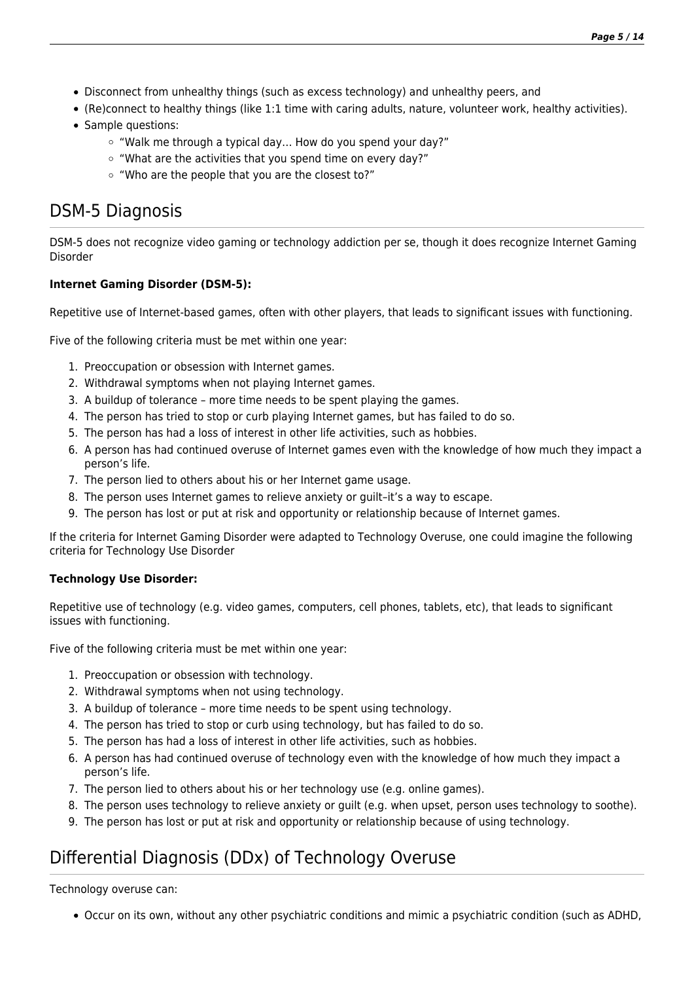- Disconnect from unhealthy things (such as excess technology) and unhealthy peers, and
- (Re)connect to healthy things (like 1:1 time with caring adults, nature, volunteer work, healthy activities).
- Sample questions:
	- "Walk me through a typical day… How do you spend your day?"
	- "What are the activities that you spend time on every day?"
	- "Who are the people that you are the closest to?"

## DSM-5 Diagnosis

DSM-5 does not recognize video gaming or technology addiction per se, though it does recognize Internet Gaming Disorder

### **Internet Gaming Disorder (DSM-5):**

Repetitive use of Internet-based games, often with other players, that leads to significant issues with functioning.

Five of the following criteria must be met within one year:

- 1. Preoccupation or obsession with Internet games.
- 2. Withdrawal symptoms when not playing Internet games.
- 3. A buildup of tolerance more time needs to be spent playing the games.
- 4. The person has tried to stop or curb playing Internet games, but has failed to do so.
- 5. The person has had a loss of interest in other life activities, such as hobbies.
- 6. A person has had continued overuse of Internet games even with the knowledge of how much they impact a person's life.
- 7. The person lied to others about his or her Internet game usage.
- 8. The person uses Internet games to relieve anxiety or guilt–it's a way to escape.
- 9. The person has lost or put at risk and opportunity or relationship because of Internet games.

If the criteria for Internet Gaming Disorder were adapted to Technology Overuse, one could imagine the following criteria for Technology Use Disorder

### **Technology Use Disorder:**

Repetitive use of technology (e.g. video games, computers, cell phones, tablets, etc), that leads to significant issues with functioning.

Five of the following criteria must be met within one year:

- 1. Preoccupation or obsession with technology.
- 2. Withdrawal symptoms when not using technology.
- 3. A buildup of tolerance more time needs to be spent using technology.
- 4. The person has tried to stop or curb using technology, but has failed to do so.
- 5. The person has had a loss of interest in other life activities, such as hobbies.
- 6. A person has had continued overuse of technology even with the knowledge of how much they impact a person's life.
- 7. The person lied to others about his or her technology use (e.g. online games).
- 8. The person uses technology to relieve anxiety or guilt (e.g. when upset, person uses technology to soothe).
- 9. The person has lost or put at risk and opportunity or relationship because of using technology.

## Differential Diagnosis (DDx) of Technology Overuse

Technology overuse can:

Occur on its own, without any other psychiatric conditions and mimic a psychiatric condition (such as ADHD,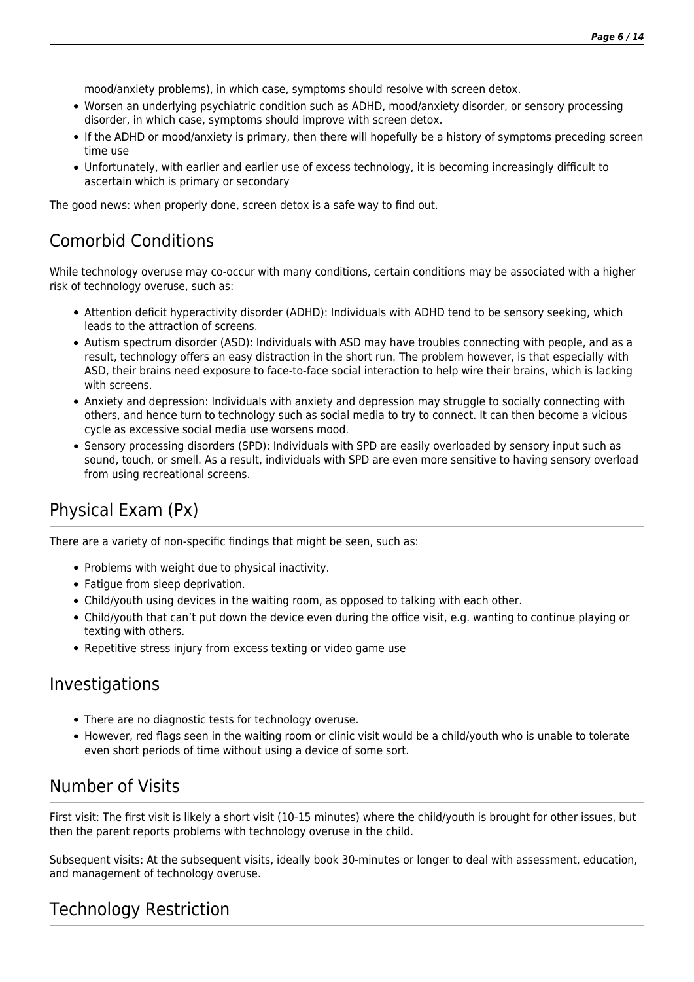mood/anxiety problems), in which case, symptoms should resolve with screen detox.

- Worsen an underlying psychiatric condition such as ADHD, mood/anxiety disorder, or sensory processing disorder, in which case, symptoms should improve with screen detox.
- If the ADHD or mood/anxiety is primary, then there will hopefully be a history of symptoms preceding screen time use
- Unfortunately, with earlier and earlier use of excess technology, it is becoming increasingly difficult to ascertain which is primary or secondary

The good news: when properly done, screen detox is a safe way to find out.

## Comorbid Conditions

While technology overuse may co-occur with many conditions, certain conditions may be associated with a higher risk of technology overuse, such as:

- Attention deficit hyperactivity disorder (ADHD): Individuals with ADHD tend to be sensory seeking, which leads to the attraction of screens.
- Autism spectrum disorder (ASD): Individuals with ASD may have troubles connecting with people, and as a result, technology offers an easy distraction in the short run. The problem however, is that especially with ASD, their brains need exposure to face-to-face social interaction to help wire their brains, which is lacking with screens.
- Anxiety and depression: Individuals with anxiety and depression may struggle to socially connecting with others, and hence turn to technology such as social media to try to connect. It can then become a vicious cycle as excessive social media use worsens mood.
- Sensory processing disorders (SPD): Individuals with SPD are easily overloaded by sensory input such as sound, touch, or smell. As a result, individuals with SPD are even more sensitive to having sensory overload from using recreational screens.

## Physical Exam (Px)

There are a variety of non-specific findings that might be seen, such as:

- Problems with weight due to physical inactivity.
- Fatigue from sleep deprivation.
- Child/youth using devices in the waiting room, as opposed to talking with each other.
- Child/youth that can't put down the device even during the office visit, e.g. wanting to continue playing or texting with others.
- Repetitive stress injury from excess texting or video game use

### Investigations

- There are no diagnostic tests for technology overuse.
- However, red flags seen in the waiting room or clinic visit would be a child/youth who is unable to tolerate even short periods of time without using a device of some sort.

## Number of Visits

First visit: The first visit is likely a short visit (10-15 minutes) where the child/youth is brought for other issues, but then the parent reports problems with technology overuse in the child.

Subsequent visits: At the subsequent visits, ideally book 30-minutes or longer to deal with assessment, education, and management of technology overuse.

## Technology Restriction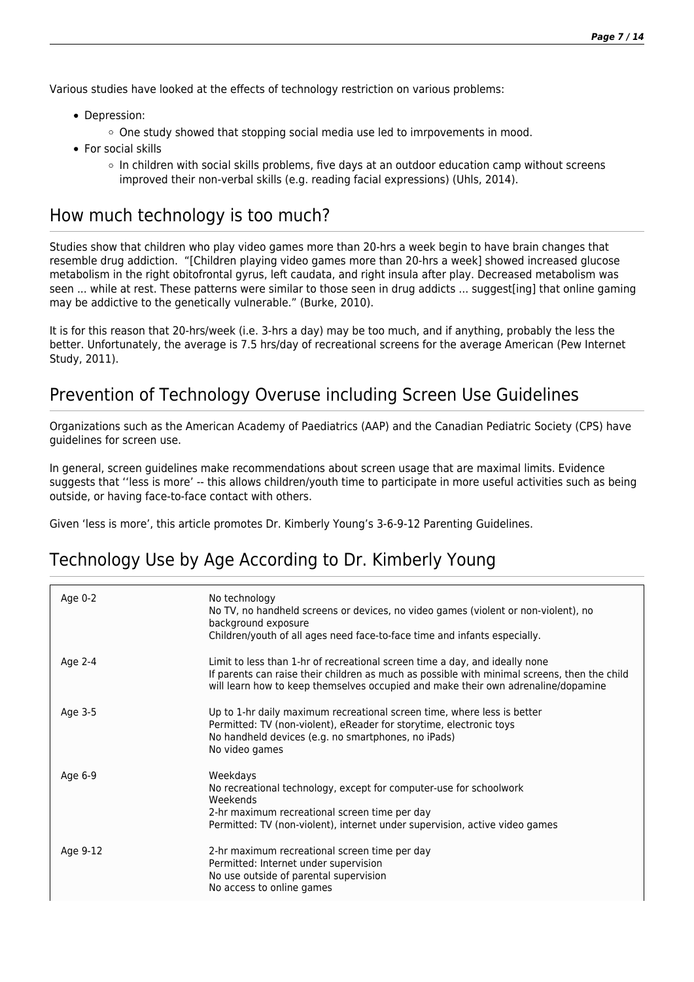Various studies have looked at the effects of technology restriction on various problems:

- Depression:
	- $\circ$  One study showed that stopping social media use led to imrpovements in mood.
- For social skills
	- $\circ$  In children with social skills problems, five days at an outdoor education camp without screens improved their non-verbal skills (e.g. reading facial expressions) (Uhls, 2014).

## How much technology is too much?

Studies show that children who play video games more than 20-hrs a week begin to have brain changes that resemble drug addiction. "[Children playing video games more than 20-hrs a week] showed increased glucose metabolism in the right obitofrontal gyrus, left caudata, and right insula after play. Decreased metabolism was seen ... while at rest. These patterns were similar to those seen in drug addicts ... suggest[ing] that online gaming may be addictive to the genetically vulnerable." (Burke, 2010).

It is for this reason that 20-hrs/week (i.e. 3-hrs a day) may be too much, and if anything, probably the less the better. Unfortunately, the average is 7.5 hrs/day of recreational screens for the average American (Pew Internet Study, 2011).

## Prevention of Technology Overuse including Screen Use Guidelines

Organizations such as the American Academy of Paediatrics (AAP) and the Canadian Pediatric Society (CPS) have guidelines for screen use.

In general, screen guidelines make recommendations about screen usage that are maximal limits. Evidence suggests that ''less is more' -- this allows children/youth time to participate in more useful activities such as being outside, or having face-to-face contact with others.

Given 'less is more', this article promotes Dr. Kimberly Young's 3-6-9-12 Parenting Guidelines.

## Technology Use by Age According to Dr. Kimberly Young

| Age 0-2  | No technology<br>No TV, no handheld screens or devices, no video games (violent or non-violent), no<br>background exposure<br>Children/youth of all ages need face-to-face time and infants especially.                                                          |
|----------|------------------------------------------------------------------------------------------------------------------------------------------------------------------------------------------------------------------------------------------------------------------|
| Age 2-4  | Limit to less than 1-hr of recreational screen time a day, and ideally none<br>If parents can raise their children as much as possible with minimal screens, then the child<br>will learn how to keep themselves occupied and make their own adrenaline/dopamine |
| Age 3-5  | Up to 1-hr daily maximum recreational screen time, where less is better<br>Permitted: TV (non-violent), eReader for storytime, electronic toys<br>No handheld devices (e.g. no smartphones, no iPads)<br>No video games                                          |
| Age 6-9  | Weekdays<br>No recreational technology, except for computer-use for schoolwork<br>Weekends<br>2-hr maximum recreational screen time per day<br>Permitted: TV (non-violent), internet under supervision, active video games                                       |
| Age 9-12 | 2-hr maximum recreational screen time per day<br>Permitted: Internet under supervision<br>No use outside of parental supervision<br>No access to online games                                                                                                    |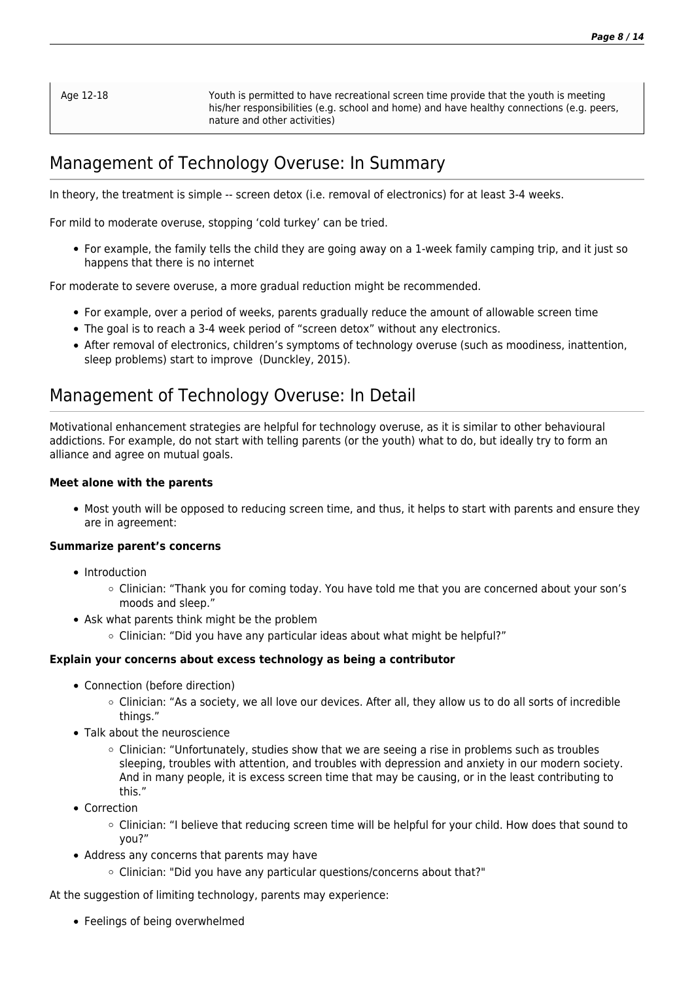Age 12-18 Youth is permitted to have recreational screen time provide that the youth is meeting his/her responsibilities (e.g. school and home) and have healthy connections (e.g. peers, nature and other activities)

## Management of Technology Overuse: In Summary

In theory, the treatment is simple -- screen detox (i.e. removal of electronics) for at least 3-4 weeks.

For mild to moderate overuse, stopping 'cold turkey' can be tried.

For example, the family tells the child they are going away on a 1-week family camping trip, and it just so happens that there is no internet

For moderate to severe overuse, a more gradual reduction might be recommended.

- For example, over a period of weeks, parents gradually reduce the amount of allowable screen time
- The goal is to reach a 3-4 week period of "screen detox" without any electronics.
- After removal of electronics, children's symptoms of technology overuse (such as moodiness, inattention, sleep problems) start to improve (Dunckley, 2015).

### Management of Technology Overuse: In Detail

Motivational enhancement strategies are helpful for technology overuse, as it is similar to other behavioural addictions. For example, do not start with telling parents (or the youth) what to do, but ideally try to form an alliance and agree on mutual goals.

### **Meet alone with the parents**

Most youth will be opposed to reducing screen time, and thus, it helps to start with parents and ensure they are in agreement:

### **Summarize parent's concerns**

- Introduction
	- Clinician: "Thank you for coming today. You have told me that you are concerned about your son's moods and sleep."
- Ask what parents think might be the problem
	- Clinician: "Did you have any particular ideas about what might be helpful?"

### **Explain your concerns about excess technology as being a contributor**

- Connection (before direction)
	- o Clinician: "As a society, we all love our devices. After all, they allow us to do all sorts of incredible things."
- Talk about the neuroscience
	- $\circ$  Clinician: "Unfortunately, studies show that we are seeing a rise in problems such as troubles sleeping, troubles with attention, and troubles with depression and anxiety in our modern society. And in many people, it is excess screen time that may be causing, or in the least contributing to this."
- Correction
	- $\circ$  Clinician: "I believe that reducing screen time will be helpful for your child. How does that sound to you?"
- Address any concerns that parents may have
	- Clinician: "Did you have any particular questions/concerns about that?"

At the suggestion of limiting technology, parents may experience:

• Feelings of being overwhelmed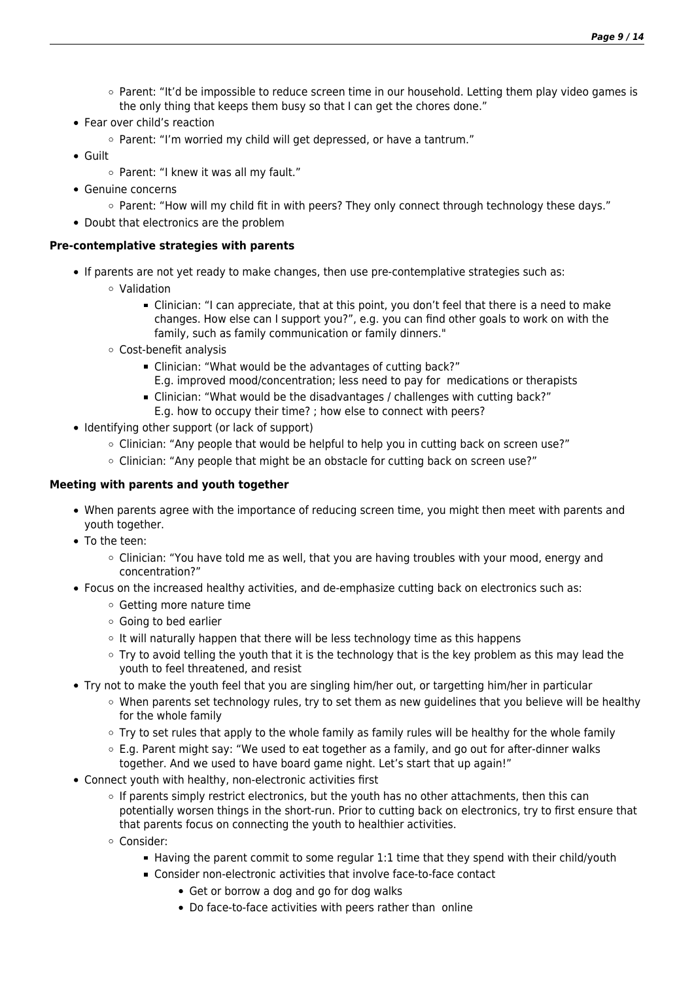- $\circ$  Parent: "It'd be impossible to reduce screen time in our household. Letting them play video games is the only thing that keeps them busy so that I can get the chores done."
- Fear over child's reaction
	- Parent: "I'm worried my child will get depressed, or have a tantrum."
- Guilt
	- o Parent: "I knew it was all my fault."
- Genuine concerns
	- $\circ$  Parent: "How will my child fit in with peers? They only connect through technology these days."
- Doubt that electronics are the problem

### **Pre-contemplative strategies with parents**

- If parents are not yet ready to make changes, then use pre-contemplative strategies such as:
	- Validation
		- Clinician: "I can appreciate, that at this point, you don't feel that there is a need to make changes. How else can I support you?", e.g. you can find other goals to work on with the family, such as family communication or family dinners."
	- Cost-benefit analysis
		- Clinician: "What would be the advantages of cutting back?" E.g. improved mood/concentration; less need to pay for medications or therapists
		- Clinician: "What would be the disadvantages / challenges with cutting back?"
			- E.g. how to occupy their time? ; how else to connect with peers?
- Identifying other support (or lack of support)
	- $\circ$  Clinician: "Any people that would be helpful to help you in cutting back on screen use?"
	- $\circ$  Clinician: "Any people that might be an obstacle for cutting back on screen use?"

### **Meeting with parents and youth together**

- When parents agree with the importance of reducing screen time, you might then meet with parents and youth together.
- To the teen:
	- $\circ$  Clinician: "You have told me as well, that you are having troubles with your mood, energy and concentration?"
- Focus on the increased healthy activities, and de-emphasize cutting back on electronics such as:
	- Getting more nature time
	- Going to bed earlier
	- $\circ$  It will naturally happen that there will be less technology time as this happens
	- $\circ$  Try to avoid telling the youth that it is the technology that is the key problem as this may lead the youth to feel threatened, and resist
- Try not to make the youth feel that you are singling him/her out, or targetting him/her in particular
	- When parents set technology rules, try to set them as new guidelines that you believe will be healthy for the whole family
	- Try to set rules that apply to the whole family as family rules will be healthy for the whole family
	- $\circ$  E.g. Parent might say: "We used to eat together as a family, and go out for after-dinner walks together. And we used to have board game night. Let's start that up again!"
- Connect youth with healthy, non-electronic activities first
	- o If parents simply restrict electronics, but the youth has no other attachments, then this can potentially worsen things in the short-run. Prior to cutting back on electronics, try to first ensure that that parents focus on connecting the youth to healthier activities.
	- Consider:
		- Having the parent commit to some regular 1:1 time that they spend with their child/youth
		- Consider non-electronic activities that involve face-to-face contact
			- Get or borrow a dog and go for dog walks
			- Do face-to-face activities with peers rather than online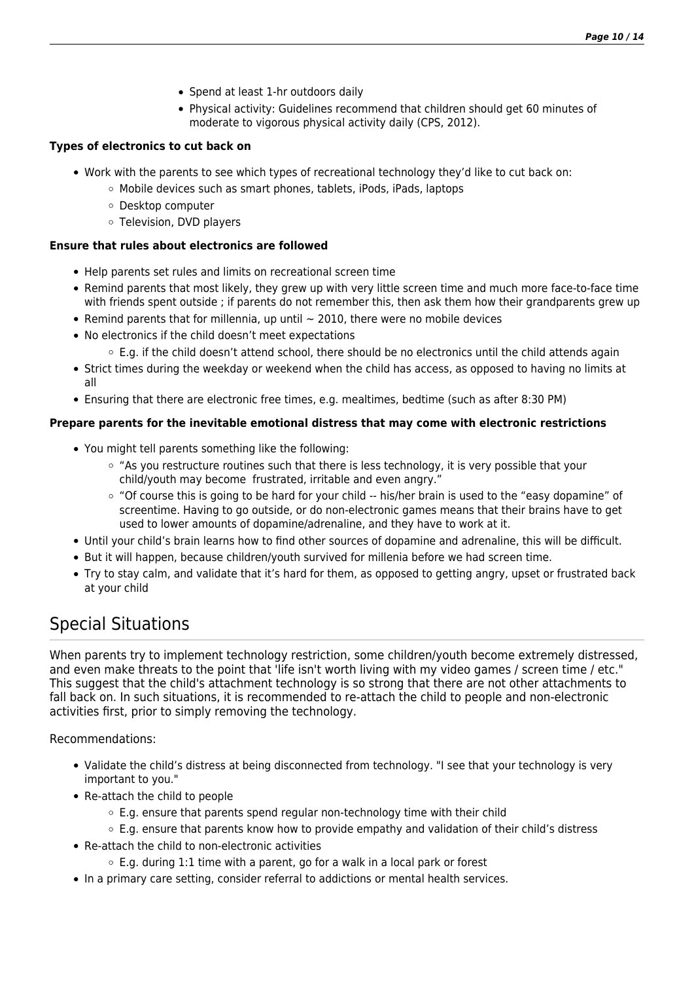- Spend at least 1-hr outdoors daily
- Physical activity: Guidelines recommend that children should get 60 minutes of moderate to vigorous physical activity daily (CPS, 2012).

### **Types of electronics to cut back on**

- Work with the parents to see which types of recreational technology they'd like to cut back on:
	- Mobile devices such as smart phones, tablets, iPods, iPads, laptops
	- Desktop computer
	- Television, DVD players

### **Ensure that rules about electronics are followed**

- Help parents set rules and limits on recreational screen time
- Remind parents that most likely, they grew up with very little screen time and much more face-to-face time with friends spent outside : if parents do not remember this, then ask them how their grandparents grew up
- Remind parents that for millennia, up until  $\sim$  2010, there were no mobile devices
- No electronics if the child doesn't meet expectations
	- $\circ$  E.g. if the child doesn't attend school, there should be no electronics until the child attends again
- Strict times during the weekday or weekend when the child has access, as opposed to having no limits at all
- Ensuring that there are electronic free times, e.g. mealtimes, bedtime (such as after 8:30 PM)

### **Prepare parents for the inevitable emotional distress that may come with electronic restrictions**

- You might tell parents something like the following:
	- "As you restructure routines such that there is less technology, it is very possible that your child/youth may become frustrated, irritable and even angry."
	- $\circ$  "Of course this is going to be hard for your child -- his/her brain is used to the "easy dopamine" of screentime. Having to go outside, or do non-electronic games means that their brains have to get used to lower amounts of dopamine/adrenaline, and they have to work at it.
- Until your child's brain learns how to find other sources of dopamine and adrenaline, this will be difficult.
- But it will happen, because children/youth survived for millenia before we had screen time.
- Try to stay calm, and validate that it's hard for them, as opposed to getting angry, upset or frustrated back at your child

## Special Situations

When parents try to implement technology restriction, some children/youth become extremely distressed, and even make threats to the point that 'life isn't worth living with my video games / screen time / etc." This suggest that the child's attachment technology is so strong that there are not other attachments to fall back on. In such situations, it is recommended to re-attach the child to people and non-electronic activities first, prior to simply removing the technology.

Recommendations:

- Validate the child's distress at being disconnected from technology. "I see that your technology is very important to you."
- Re-attach the child to people
	- $\circ$  E.g. ensure that parents spend regular non-technology time with their child
	- $\circ$  E.g. ensure that parents know how to provide empathy and validation of their child's distress
- Re-attach the child to non-electronic activities
	- $\circ$  E.g. during 1:1 time with a parent, go for a walk in a local park or forest
- In a primary care setting, consider referral to addictions or mental health services.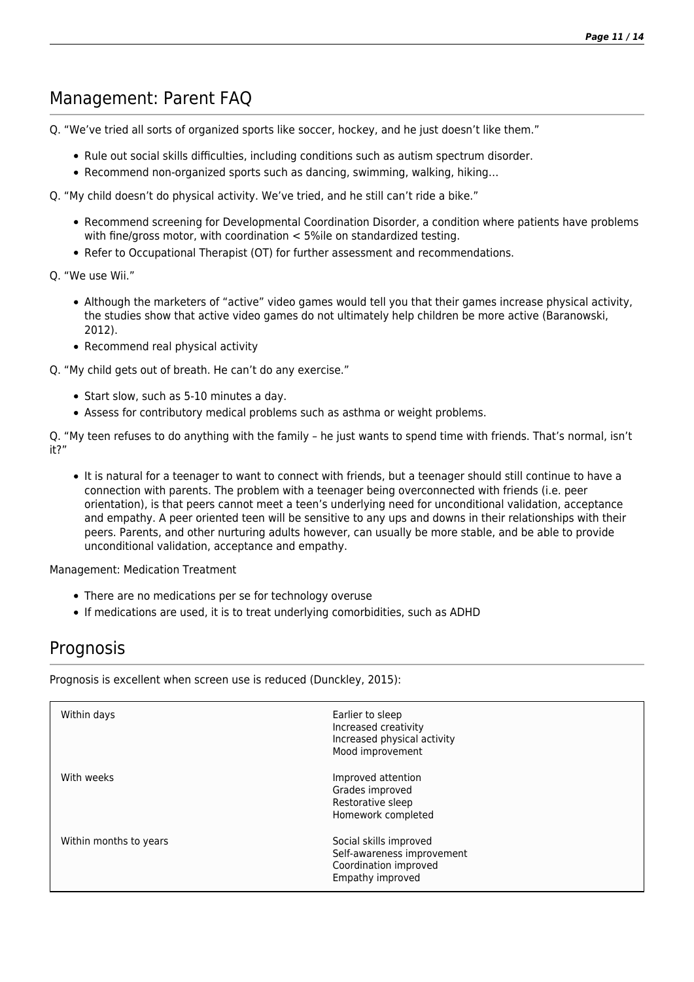## Management: Parent FAQ

Q. "We've tried all sorts of organized sports like soccer, hockey, and he just doesn't like them."

- Rule out social skills difficulties, including conditions such as autism spectrum disorder.
- Recommend non-organized sports such as dancing, swimming, walking, hiking…
- Q. "My child doesn't do physical activity. We've tried, and he still can't ride a bike."
	- Recommend screening for Developmental Coordination Disorder, a condition where patients have problems with fine/gross motor, with coordination < 5%ile on standardized testing.
	- Refer to Occupational Therapist (OT) for further assessment and recommendations.
- Q. "We use Wii."
	- Although the marketers of "active" video games would tell you that their games increase physical activity, the studies show that active video games do not ultimately help children be more active (Baranowski, 2012).
	- Recommend real physical activity
- Q. "My child gets out of breath. He can't do any exercise."
	- Start slow, such as 5-10 minutes a day.
	- Assess for contributory medical problems such as asthma or weight problems.

Q. "My teen refuses to do anything with the family – he just wants to spend time with friends. That's normal, isn't it?"

• It is natural for a teenager to want to connect with friends, but a teenager should still continue to have a connection with parents. The problem with a teenager being overconnected with friends (i.e. peer orientation), is that peers cannot meet a teen's underlying need for unconditional validation, acceptance and empathy. A peer oriented teen will be sensitive to any ups and downs in their relationships with their peers. Parents, and other nurturing adults however, can usually be more stable, and be able to provide unconditional validation, acceptance and empathy.

Management: Medication Treatment

- There are no medications per se for technology overuse
- If medications are used, it is to treat underlying comorbidities, such as ADHD

## **Prognosis**

Prognosis is excellent when screen use is reduced (Dunckley, 2015):

| Within days            | Earlier to sleep<br>Increased creativity<br>Increased physical activity<br>Mood improvement       |
|------------------------|---------------------------------------------------------------------------------------------------|
| With weeks             | Improved attention<br>Grades improved<br>Restorative sleep<br>Homework completed                  |
| Within months to years | Social skills improved<br>Self-awareness improvement<br>Coordination improved<br>Empathy improved |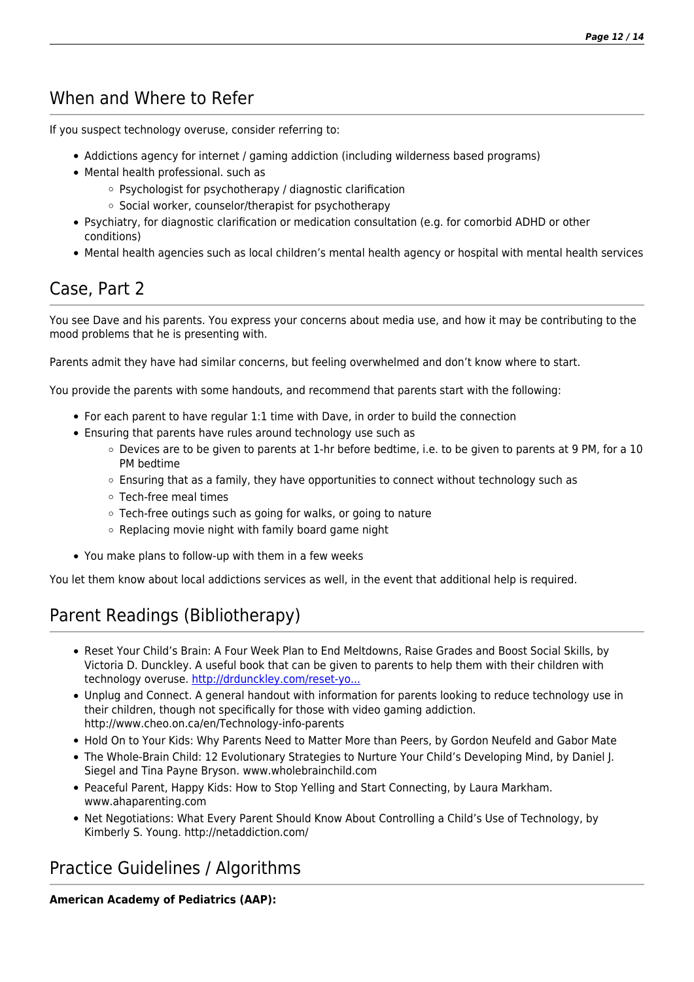## When and Where to Refer

If you suspect technology overuse, consider referring to:

- Addictions agency for internet / gaming addiction (including wilderness based programs)
- Mental health professional. such as
	- Psychologist for psychotherapy / diagnostic clarification
	- $\circ$  Social worker, counselor/therapist for psychotherapy
- Psychiatry, for diagnostic clarification or medication consultation (e.g. for comorbid ADHD or other conditions)
- Mental health agencies such as local children's mental health agency or hospital with mental health services

## Case, Part 2

You see Dave and his parents. You express your concerns about media use, and how it may be contributing to the mood problems that he is presenting with.

Parents admit they have had similar concerns, but feeling overwhelmed and don't know where to start.

You provide the parents with some handouts, and recommend that parents start with the following:

- For each parent to have regular 1:1 time with Dave, in order to build the connection
- Ensuring that parents have rules around technology use such as
	- Devices are to be given to parents at 1-hr before bedtime, i.e. to be given to parents at 9 PM, for a 10 PM bedtime
	- $\circ$  Ensuring that as a family, they have opportunities to connect without technology such as
	- Tech-free meal times
	- Tech-free outings such as going for walks, or going to nature
	- $\circ$  Replacing movie night with family board game night
- You make plans to follow-up with them in a few weeks

You let them know about local addictions services as well, in the event that additional help is required.

## Parent Readings (Bibliotherapy)

- Reset Your Child's Brain: A Four Week Plan to End Meltdowns, Raise Grades and Boost Social Skills, by Victoria D. Dunckley. A useful book that can be given to parents to help them with their children with technology overuse. [http://drdunckley.com/reset-yo...](http://drdunckley.com/reset-your-childs-brain/)
- Unplug and Connect. A general handout with information for parents looking to reduce technology use in their children, though not specifically for those with video gaming addiction. http://www.cheo.on.ca/en/Technology-info-parents
- Hold On to Your Kids: Why Parents Need to Matter More than Peers, by Gordon Neufeld and Gabor Mate
- The Whole-Brain Child: 12 Evolutionary Strategies to Nurture Your Child's Developing Mind, by Daniel J. Siegel and Tina Payne Bryson. www.wholebrainchild.com
- Peaceful Parent, Happy Kids: How to Stop Yelling and Start Connecting, by Laura Markham. www.ahaparenting.com
- Net Negotiations: What Every Parent Should Know About Controlling a Child's Use of Technology, by Kimberly S. Young. http://netaddiction.com/

## Practice Guidelines / Algorithms

**American Academy of Pediatrics (AAP):**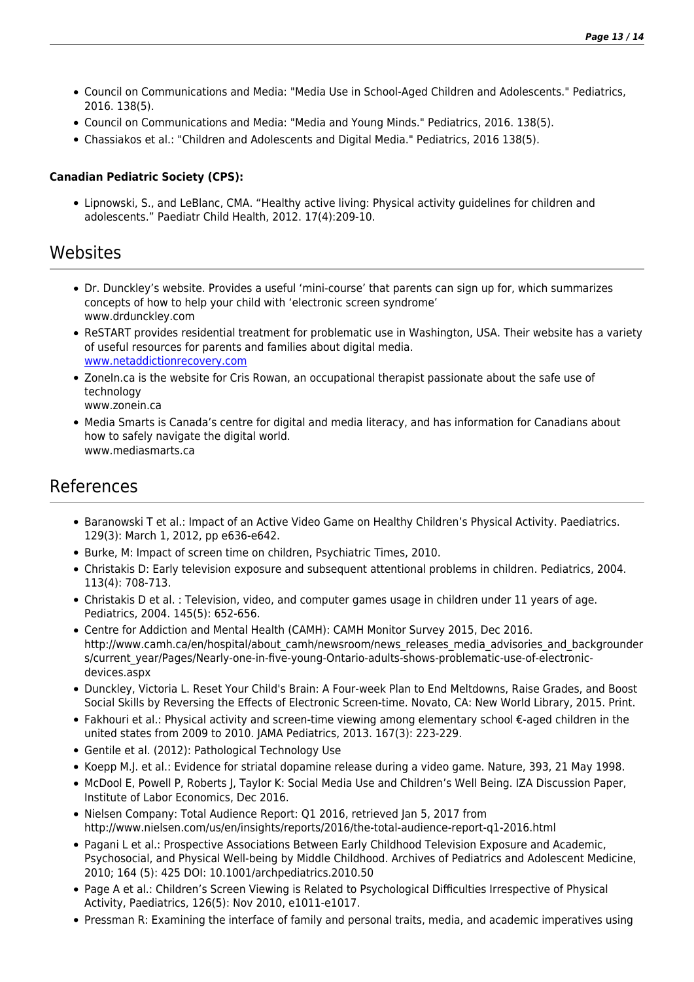- Council on Communications and Media: "Media Use in School-Aged Children and Adolescents." Pediatrics, 2016. 138(5).
- Council on Communications and Media: "Media and Young Minds." Pediatrics, 2016. 138(5).
- Chassiakos et al.: "Children and Adolescents and Digital Media." Pediatrics, 2016 138(5).

### **Canadian Pediatric Society (CPS):**

Lipnowski, S., and LeBlanc, CMA. "Healthy active living: Physical activity guidelines for children and adolescents." Paediatr Child Health, 2012. 17(4):209-10.

### **Websites**

- Dr. Dunckley's website. Provides a useful 'mini-course' that parents can sign up for, which summarizes concepts of how to help your child with 'electronic screen syndrome' www.drdunckley.com
- ReSTART provides residential treatment for problematic use in Washington, USA. Their website has a variety of useful resources for parents and families about digital media. [www.netaddictionrecovery.com](http://www.netaddictionrecovery.com)
- ZoneIn.ca is the website for Cris Rowan, an occupational therapist passionate about the safe use of technology www.zonein.ca
- Media Smarts is Canada's centre for digital and media literacy, and has information for Canadians about how to safely navigate the digital world. www.mediasmarts.ca

### References

- Baranowski T et al.: Impact of an Active Video Game on Healthy Children's Physical Activity. Paediatrics. 129(3): March 1, 2012, pp e636-e642.
- Burke, M: Impact of screen time on children, Psychiatric Times, 2010.
- Christakis D: Early television exposure and subsequent attentional problems in children. Pediatrics, 2004. 113(4): 708-713.
- Christakis D et al. : Television, video, and computer games usage in children under 11 years of age. Pediatrics, 2004. 145(5): 652-656.
- Centre for Addiction and Mental Health (CAMH): CAMH Monitor Survey 2015, Dec 2016. http://www.camh.ca/en/hospital/about\_camh/newsroom/news\_releases\_media\_advisories\_and\_backgrounder s/current\_year/Pages/Nearly-one-in-five-young-Ontario-adults-shows-problematic-use-of-electronicdevices.aspx
- Dunckley, Victoria L. Reset Your Child's Brain: A Four-week Plan to End Meltdowns, Raise Grades, and Boost Social Skills by Reversing the Effects of Electronic Screen-time. Novato, CA: New World Library, 2015. Print.
- Fakhouri et al.: Physical activity and screen-time viewing among elementary school €-aged children in the united states from 2009 to 2010. JAMA Pediatrics, 2013. 167(3): 223-229.
- Gentile et al. (2012): Pathological Technology Use
- Koepp M.J. et al.: Evidence for striatal dopamine release during a video game. Nature, 393, 21 May 1998.
- McDool E, Powell P, Roberts J, Taylor K: Social Media Use and Children's Well Being. IZA Discussion Paper, Institute of Labor Economics, Dec 2016.
- Nielsen Company: Total Audience Report: Q1 2016, retrieved Jan 5, 2017 from http://www.nielsen.com/us/en/insights/reports/2016/the-total-audience-report-q1-2016.html
- Pagani L et al.: Prospective Associations Between Early Childhood Television Exposure and Academic, Psychosocial, and Physical Well-being by Middle Childhood. Archives of Pediatrics and Adolescent Medicine, 2010; 164 (5): 425 DOI: 10.1001/archpediatrics.2010.50
- Page A et al.: Children's Screen Viewing is Related to Psychological Difficulties Irrespective of Physical Activity, Paediatrics, 126(5): Nov 2010, e1011-e1017.
- Pressman R: Examining the interface of family and personal traits, media, and academic imperatives using